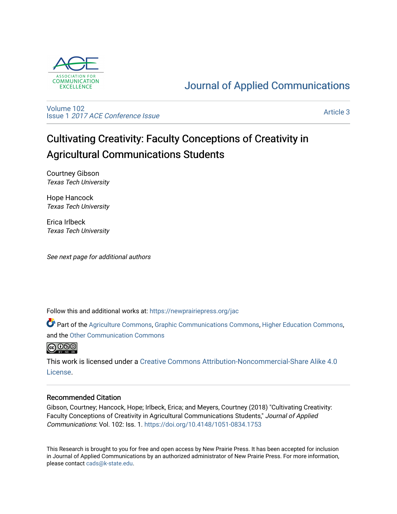

# [Journal of Applied Communications](https://newprairiepress.org/jac)

[Volume 102](https://newprairiepress.org/jac/vol102) Issue 1 [2017 ACE Conference Issue](https://newprairiepress.org/jac/vol102/iss1) 

[Article 3](https://newprairiepress.org/jac/vol102/iss1/3) 

# Cultivating Creativity: Faculty Conceptions of Creativity in Agricultural Communications Students

Courtney Gibson Texas Tech University

Hope Hancock Texas Tech University

Erica Irlbeck Texas Tech University

See next page for additional authors

Follow this and additional works at: [https://newprairiepress.org/jac](https://newprairiepress.org/jac?utm_source=newprairiepress.org%2Fjac%2Fvol102%2Fiss1%2F3&utm_medium=PDF&utm_campaign=PDFCoverPages)

Part of the [Agriculture Commons](http://network.bepress.com/hgg/discipline/1076?utm_source=newprairiepress.org%2Fjac%2Fvol102%2Fiss1%2F3&utm_medium=PDF&utm_campaign=PDFCoverPages), [Graphic Communications Commons,](http://network.bepress.com/hgg/discipline/1052?utm_source=newprairiepress.org%2Fjac%2Fvol102%2Fiss1%2F3&utm_medium=PDF&utm_campaign=PDFCoverPages) [Higher Education Commons](http://network.bepress.com/hgg/discipline/1245?utm_source=newprairiepress.org%2Fjac%2Fvol102%2Fiss1%2F3&utm_medium=PDF&utm_campaign=PDFCoverPages), and the [Other Communication Commons](http://network.bepress.com/hgg/discipline/339?utm_source=newprairiepress.org%2Fjac%2Fvol102%2Fiss1%2F3&utm_medium=PDF&utm_campaign=PDFCoverPages) 



This work is licensed under a [Creative Commons Attribution-Noncommercial-Share Alike 4.0](https://creativecommons.org/licenses/by-nc-sa/4.0/) [License.](https://creativecommons.org/licenses/by-nc-sa/4.0/)

# Recommended Citation

Gibson, Courtney; Hancock, Hope; Irlbeck, Erica; and Meyers, Courtney (2018) "Cultivating Creativity: Faculty Conceptions of Creativity in Agricultural Communications Students," Journal of Applied Communications: Vol. 102: Iss. 1. <https://doi.org/10.4148/1051-0834.1753>

This Research is brought to you for free and open access by New Prairie Press. It has been accepted for inclusion in Journal of Applied Communications by an authorized administrator of New Prairie Press. For more information, please contact [cads@k-state.edu.](mailto:cads@k-state.edu)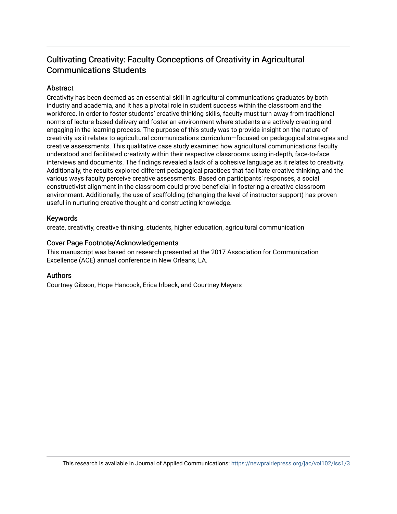# Cultivating Creativity: Faculty Conceptions of Creativity in Agricultural Communications Students

# Abstract

Creativity has been deemed as an essential skill in agricultural communications graduates by both industry and academia, and it has a pivotal role in student success within the classroom and the workforce. In order to foster students' creative thinking skills, faculty must turn away from traditional norms of lecture-based delivery and foster an environment where students are actively creating and engaging in the learning process. The purpose of this study was to provide insight on the nature of creativity as it relates to agricultural communications curriculum—focused on pedagogical strategies and creative assessments. This qualitative case study examined how agricultural communications faculty understood and facilitated creativity within their respective classrooms using in-depth, face-to-face interviews and documents. The findings revealed a lack of a cohesive language as it relates to creativity. Additionally, the results explored different pedagogical practices that facilitate creative thinking, and the various ways faculty perceive creative assessments. Based on participants' responses, a social constructivist alignment in the classroom could prove beneficial in fostering a creative classroom environment. Additionally, the use of scaffolding (changing the level of instructor support) has proven useful in nurturing creative thought and constructing knowledge.

# Keywords

create, creativity, creative thinking, students, higher education, agricultural communication

### Cover Page Footnote/Acknowledgements

This manuscript was based on research presented at the 2017 Association for Communication Excellence (ACE) annual conference in New Orleans, LA.

#### Authors

Courtney Gibson, Hope Hancock, Erica Irlbeck, and Courtney Meyers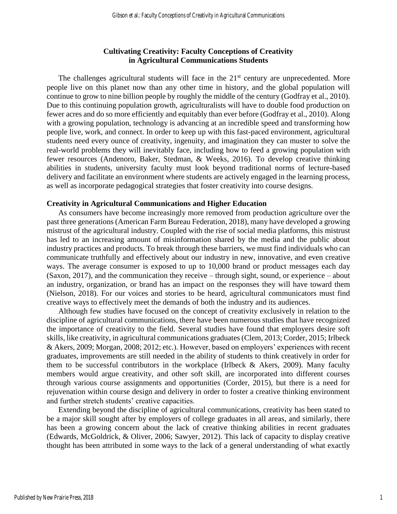## **Cultivating Creativity: Faculty Conceptions of Creativity in Agricultural Communications Students**

The challenges agricultural students will face in the  $21<sup>st</sup>$  century are unprecedented. More people live on this planet now than any other time in history, and the global population will continue to grow to nine billion people by roughly the middle of the century (Godfray et al., 2010). Due to this continuing population growth, agriculturalists will have to double food production on fewer acres and do so more efficiently and equitably than ever before (Godfray et al., 2010). Along with a growing population, technology is advancing at an incredible speed and transforming how people live, work, and connect. In order to keep up with this fast-paced environment, agricultural students need every ounce of creativity, ingenuity, and imagination they can muster to solve the real-world problems they will inevitably face, including how to feed a growing population with fewer resources (Andenoro, Baker, Stedman, & Weeks, 2016). To develop creative thinking abilities in students, university faculty must look beyond traditional norms of lecture-based delivery and facilitate an environment where students are actively engaged in the learning process, as well as incorporate pedagogical strategies that foster creativity into course designs.

#### **Creativity in Agricultural Communications and Higher Education**

As consumers have become increasingly more removed from production agriculture over the past three generations (American Farm Bureau Federation, 2018), many have developed a growing mistrust of the agricultural industry. Coupled with the rise of social media platforms, this mistrust has led to an increasing amount of misinformation shared by the media and the public about industry practices and products. To break through these barriers, we must find individuals who can communicate truthfully and effectively about our industry in new, innovative, and even creative ways. The average consumer is exposed to up to 10,000 brand or product messages each day (Saxon, 2017), and the communication they receive – through sight, sound, or experience – about an industry, organization, or brand has an impact on the responses they will have toward them (Nielson, 2018). For our voices and stories to be heard, agricultural communicators must find creative ways to effectively meet the demands of both the industry and its audiences.

Although few studies have focused on the concept of creativity exclusively in relation to the discipline of agricultural communications, there have been numerous studies that have recognized the importance of creativity to the field. Several studies have found that employers desire soft skills, like creativity, in agricultural communications graduates (Clem, 2013; Corder, 2015; Irlbeck & Akers, 2009; Morgan, 2008; 2012; etc.). However, based on employers' experiences with recent graduates, improvements are still needed in the ability of students to think creatively in order for them to be successful contributors in the workplace (Irlbeck  $&$  Akers, 2009). Many faculty members would argue creativity, and other soft skill, are incorporated into different courses through various course assignments and opportunities (Corder, 2015), but there is a need for rejuvenation within course design and delivery in order to foster a creative thinking environment and further stretch students' creative capacities.

Extending beyond the discipline of agricultural communications, creativity has been stated to be a major skill sought after by employers of college graduates in all areas, and similarly, there has been a growing concern about the lack of creative thinking abilities in recent graduates (Edwards, McGoldrick, & Oliver, 2006; Sawyer, 2012). This lack of capacity to display creative thought has been attributed in some ways to the lack of a general understanding of what exactly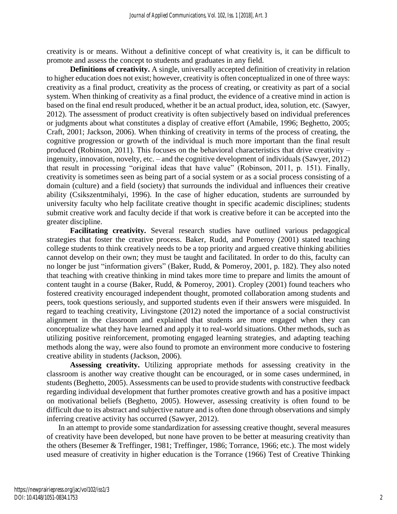creativity is or means. Without a definitive concept of what creativity is, it can be difficult to promote and assess the concept to students and graduates in any field.

**Definitions of creativity.** A single, universally accepted definition of creativity in relation to higher education does not exist; however, creativity is often conceptualized in one of three ways: creativity as a final product, creativity as the process of creating, or creativity as part of a social system. When thinking of creativity as a final product, the evidence of a creative mind in action is based on the final end result produced, whether it be an actual product, idea, solution, etc. (Sawyer, 2012). The assessment of product creativity is often subjectively based on individual preferences or judgments about what constitutes a display of creative effort (Amabile, 1996; Beghetto, 2005; Craft, 2001; Jackson, 2006). When thinking of creativity in terms of the process of creating, the cognitive progression or growth of the individual is much more important than the final result produced (Robinson, 2011). This focuses on the behavioral characteristics that drive creativity – ingenuity, innovation, novelty, etc. – and the cognitive development of individuals (Sawyer, 2012) that result in processing "original ideas that have value" (Robinson, 2011, p. 151). Finally, creativity is sometimes seen as being part of a social system or as a social process consisting of a domain (culture) and a field (society) that surrounds the individual and influences their creative ability (Csikszentmihalyi, 1996). In the case of higher education, students are surrounded by university faculty who help facilitate creative thought in specific academic disciplines; students submit creative work and faculty decide if that work is creative before it can be accepted into the greater discipline.

**Facilitating creativity.** Several research studies have outlined various pedagogical strategies that foster the creative process. Baker, Rudd, and Pomeroy (2001) stated teaching college students to think creatively needs to be a top priority and argued creative thinking abilities cannot develop on their own; they must be taught and facilitated. In order to do this, faculty can no longer be just "information givers" (Baker, Rudd, & Pomeroy, 2001, p. 182). They also noted that teaching with creative thinking in mind takes more time to prepare and limits the amount of content taught in a course (Baker, Rudd, & Pomeroy, 2001). Cropley (2001) found teachers who fostered creativity encouraged independent thought, promoted collaboration among students and peers, took questions seriously, and supported students even if their answers were misguided. In regard to teaching creativity, Livingstone (2012) noted the importance of a social constructivist alignment in the classroom and explained that students are more engaged when they can conceptualize what they have learned and apply it to real-world situations. Other methods, such as utilizing positive reinforcement, promoting engaged learning strategies, and adapting teaching methods along the way, were also found to promote an environment more conducive to fostering creative ability in students (Jackson, 2006).

**Assessing creativity.** Utilizing appropriate methods for assessing creativity in the classroom is another way creative thought can be encouraged, or in some cases undermined, in students (Beghetto, 2005). Assessments can be used to provide students with constructive feedback regarding individual development that further promotes creative growth and has a positive impact on motivational beliefs (Beghetto, 2005). However, assessing creativity is often found to be difficult due to its abstract and subjective nature and is often done through observations and simply inferring creative activity has occurred (Sawyer, 2012).

In an attempt to provide some standardization for assessing creative thought, several measures of creativity have been developed, but none have proven to be better at measuring creativity than the others (Besemer & Treffinger, 1981; Treffinger, 1986; Torrance, 1966; etc.). The most widely used measure of creativity in higher education is the Torrance (1966) Test of Creative Thinking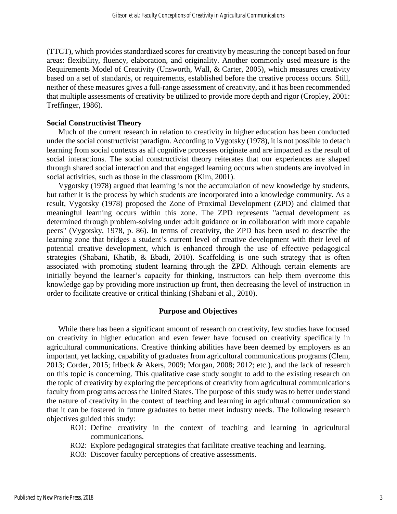(TTCT), which provides standardized scores for creativity by measuring the concept based on four areas: flexibility, fluency, elaboration, and originality. Another commonly used measure is the Requirements Model of Creativity (Unsworth, Wall, & Carter, 2005), which measures creativity based on a set of standards, or requirements, established before the creative process occurs. Still, neither of these measures gives a full-range assessment of creativity, and it has been recommended that multiple assessments of creativity be utilized to provide more depth and rigor (Cropley, 2001: Treffinger, 1986).

#### **Social Constructivist Theory**

Much of the current research in relation to creativity in higher education has been conducted under the social constructivist paradigm. According to Vygotsky (1978), it is not possible to detach learning from social contexts as all cognitive processes originate and are impacted as the result of social interactions. The social constructivist theory reiterates that our experiences are shaped through shared social interaction and that engaged learning occurs when students are involved in social activities, such as those in the classroom (Kim, 2001).

Vygotsky (1978) argued that learning is not the accumulation of new knowledge by students, but rather it is the process by which students are incorporated into a knowledge community. As a result, Vygotsky (1978) proposed the Zone of Proximal Development (ZPD) and claimed that meaningful learning occurs within this zone. The ZPD represents "actual development as determined through problem-solving under adult guidance or in collaboration with more capable peers" (Vygotsky, 1978, p. 86). In terms of creativity, the ZPD has been used to describe the learning zone that bridges a student's current level of creative development with their level of potential creative development, which is enhanced through the use of effective pedagogical strategies (Shabani, Khatib, & Ebadi, 2010). Scaffolding is one such strategy that is often associated with promoting student learning through the ZPD. Although certain elements are initially beyond the learner's capacity for thinking, instructors can help them overcome this knowledge gap by providing more instruction up front, then decreasing the level of instruction in order to facilitate creative or critical thinking (Shabani et al., 2010).

#### **Purpose and Objectives**

While there has been a significant amount of research on creativity, few studies have focused on creativity in higher education and even fewer have focused on creativity specifically in agricultural communications. Creative thinking abilities have been deemed by employers as an important, yet lacking, capability of graduates from agricultural communications programs (Clem, 2013; Corder, 2015; Irlbeck & Akers, 2009; Morgan, 2008; 2012; etc.), and the lack of research on this topic is concerning. This qualitative case study sought to add to the existing research on the topic of creativity by exploring the perceptions of creativity from agricultural communications faculty from programs across the United States. The purpose of this study was to better understand the nature of creativity in the context of teaching and learning in agricultural communication so that it can be fostered in future graduates to better meet industry needs. The following research objectives guided this study:

- RO1: Define creativity in the context of teaching and learning in agricultural communications.
- RO2: Explore pedagogical strategies that facilitate creative teaching and learning.
- RO3: Discover faculty perceptions of creative assessments.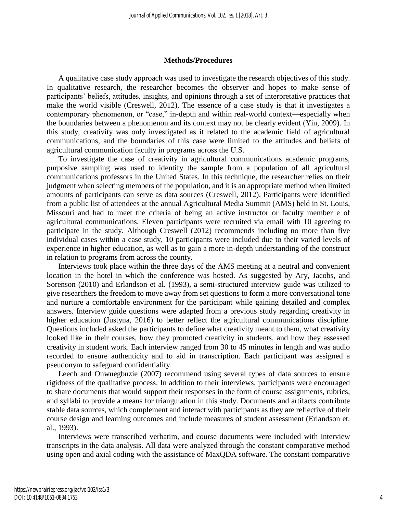#### **Methods/Procedures**

A qualitative case study approach was used to investigate the research objectives of this study. In qualitative research, the researcher becomes the observer and hopes to make sense of participants' beliefs, attitudes, insights, and opinions through a set of interpretative practices that make the world visible (Creswell, 2012). The essence of a case study is that it investigates a contemporary phenomenon, or "case," in-depth and within real-world context—especially when the boundaries between a phenomenon and its context may not be clearly evident (Yin, 2009). In this study, creativity was only investigated as it related to the academic field of agricultural communications, and the boundaries of this case were limited to the attitudes and beliefs of agricultural communication faculty in programs across the U.S.

To investigate the case of creativity in agricultural communications academic programs, purposive sampling was used to identify the sample from a population of all agricultural communications professors in the United States. In this technique, the researcher relies on their judgment when selecting members of the population, and it is an appropriate method when limited amounts of participants can serve as data sources (Creswell, 2012). Participants were identified from a public list of attendees at the annual Agricultural Media Summit (AMS) held in St. Louis, Missouri and had to meet the criteria of being an active instructor or faculty member e of agricultural communications. Eleven participants were recruited via email with 10 agreeing to participate in the study. Although Creswell (2012) recommends including no more than five individual cases within a case study, 10 participants were included due to their varied levels of experience in higher education, as well as to gain a more in-depth understanding of the construct in relation to programs from across the county.

Interviews took place within the three days of the AMS meeting at a neutral and convenient location in the hotel in which the conference was hosted. As suggested by Ary, Jacobs, and Sorenson (2010) and Erlandson et al. (1993), a semi-structured interview guide was utilized to give researchers the freedom to move away from set questions to form a more conversational tone and nurture a comfortable environment for the participant while gaining detailed and complex answers. Interview guide questions were adapted from a previous study regarding creativity in higher education (Justyna, 2016) to better reflect the agricultural communications discipline. Questions included asked the participants to define what creativity meant to them, what creativity looked like in their courses, how they promoted creativity in students, and how they assessed creativity in student work. Each interview ranged from 30 to 45 minutes in length and was audio recorded to ensure authenticity and to aid in transcription. Each participant was assigned a pseudonym to safeguard confidentiality.

Leech and Onwuegbuzie (2007) recommend using several types of data sources to ensure rigidness of the qualitative process. In addition to their interviews, participants were encouraged to share documents that would support their responses in the form of course assignments, rubrics, and syllabi to provide a means for triangulation in this study. Documents and artifacts contribute stable data sources, which complement and interact with participants as they are reflective of their course design and learning outcomes and include measures of student assessment (Erlandson et. al., 1993).

Interviews were transcribed verbatim, and course documents were included with interview transcripts in the data analysis. All data were analyzed through the constant comparative method using open and axial coding with the assistance of MaxQDA software. The constant comparative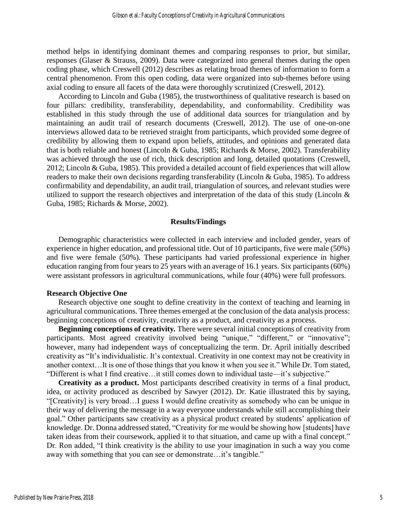method helps in identifying dominant themes and comparing responses to prior, but similar, responses (Glaser & Strauss, 2009). Data were categorized into general themes during the open coding phase, which Creswell (2012) describes as relating broad themes of information to form a central phenomenon. From this open coding, data were organized into sub-themes before using axial coding to ensure all facets of the data were thoroughly scrutinized (Creswell, 2012).

According to Lincoln and Guba (1985), the trustworthiness of qualitative research is based on four pillars: credibility, transferability, dependability, and conformability. Credibility was established in this study through the use of additional data sources for triangulation and by maintaining an audit trail of research documents (Creswell, 2012). The use of one-on-one interviews allowed data to be retrieved straight from participants, which provided some degree of credibility by allowing them to expand upon beliefs, attitudes, and opinions and generated data that is both reliable and honest (Lincoln & Guba, 1985; Richards & Morse, 2002). Transferability was achieved through the use of rich, thick description and long, detailed quotations (Creswell, 2012; Lincoln & Guba, 1985). This provided a detailed account of field experiences that will allow readers to make their own decisions regarding transferability (Lincoln & Guba, 1985). To address confirmability and dependability, an audit trail, triangulation of sources, and relevant studies were utilized to support the research objectives and interpretation of the data of this study (Lincoln  $\&$ Guba, 1985; Richards & Morse, 2002).

#### **Results/Findings**

Demographic characteristics were collected in each interview and included gender, years of experience in higher education, and professional title. Out of 10 participants, five were male (50%) and five were female (50%). These participants had varied professional experience in higher education ranging from four years to 25 years with an average of 16.1 years. Six participants (60%) were assistant professors in agricultural communications, while four (40%) were full professors.

#### **Research Objective One**

Research objective one sought to define creativity in the context of teaching and learning in agricultural communications. Three themes emerged at the conclusion of the data analysis process: beginning conceptions of creativity, creativity as a product, and creativity as a process.

**Beginning conceptions of creativity***.* There were several initial conceptions of creativity from participants. Most agreed creativity involved being "unique," "different," or "innovative"; however, many had independent ways of conceptualizing the term. Dr. April initially described creativity as "It's individualistic. It's contextual. Creativity in one context may not be creativity in another context…It is one of those things that you know it when you see it." While Dr. Tom stated, "Different is what I find creative…it still comes down to individual taste—it's subjective."

**Creativity as a product.** Most participants described creativity in terms of a final product, idea, or activity produced as described by Sawyer (2012). Dr. Katie illustrated this by saying, "[Creativity] is very broad…I guess I would define creativity as somebody who can be unique in their way of delivering the message in a way everyone understands while still accomplishing their goal." Other participants saw creativity as a physical product created by students' application of knowledge. Dr. Donna addressed stated, "Creativity for me would be showing how [students] have taken ideas from their coursework, applied it to that situation, and came up with a final concept." Dr. Ron added, "I think creativity is the ability to use your imagination in such a way you come away with something that you can see or demonstrate…it's tangible."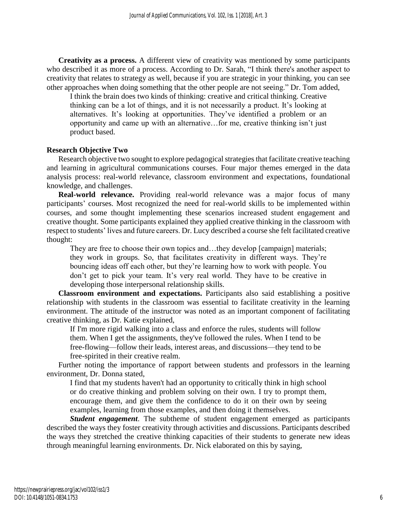**Creativity as a process.** A different view of creativity was mentioned by some participants who described it as more of a process. According to Dr. Sarah, "I think there's another aspect to creativity that relates to strategy as well, because if you are strategic in your thinking, you can see other approaches when doing something that the other people are not seeing." Dr. Tom added,

I think the brain does two kinds of thinking: creative and critical thinking. Creative thinking can be a lot of things, and it is not necessarily a product. It's looking at alternatives. It's looking at opportunities. They've identified a problem or an opportunity and came up with an alternative…for me, creative thinking isn't just product based.

### **Research Objective Two**

Research objective two sought to explore pedagogical strategies that facilitate creative teaching and learning in agricultural communications courses. Four major themes emerged in the data analysis process: real-world relevance, classroom environment and expectations, foundational knowledge, and challenges.

**Real-world relevance.** Providing real-world relevance was a major focus of many participants' courses. Most recognized the need for real-world skills to be implemented within courses, and some thought implementing these scenarios increased student engagement and creative thought. Some participants explained they applied creative thinking in the classroom with respect to students' lives and future careers. Dr. Lucy described a course she felt facilitated creative thought:

They are free to choose their own topics and…they develop [campaign] materials; they work in groups. So, that facilitates creativity in different ways. They're bouncing ideas off each other, but they're learning how to work with people. You don't get to pick your team. It's very real world. They have to be creative in developing those interpersonal relationship skills.

**Classroom environment and expectations.** Participants also said establishing a positive relationship with students in the classroom was essential to facilitate creativity in the learning environment. The attitude of the instructor was noted as an important component of facilitating creative thinking, as Dr. Katie explained,

If I'm more rigid walking into a class and enforce the rules, students will follow them. When I get the assignments, they've followed the rules. When I tend to be free-flowing—follow their leads, interest areas, and discussions—they tend to be free-spirited in their creative realm.

Further noting the importance of rapport between students and professors in the learning environment, Dr. Donna stated,

I find that my students haven't had an opportunity to critically think in high school or do creative thinking and problem solving on their own. I try to prompt them, encourage them, and give them the confidence to do it on their own by seeing examples, learning from those examples, and then doing it themselves.

*Student engagement*. The subtheme of student engagement emerged as participants described the ways they foster creativity through activities and discussions. Participants described the ways they stretched the creative thinking capacities of their students to generate new ideas through meaningful learning environments. Dr. Nick elaborated on this by saying,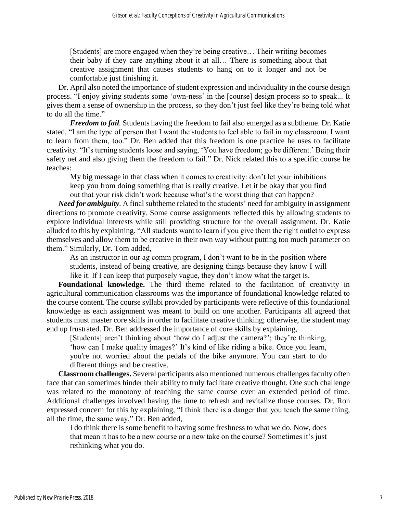[Students] are more engaged when they're being creative… Their writing becomes their baby if they care anything about it at all… There is something about that creative assignment that causes students to hang on to it longer and not be comfortable just finishing it.

Dr. April also noted the importance of student expression and individuality in the course design process. "I enjoy giving students some 'own-ness' in the [course] design process so to speak... It gives them a sense of ownership in the process, so they don't just feel like they're being told what to do all the time."

*Freedom to fail.* Students having the freedom to fail also emerged as a subtheme. Dr. Katie stated, "I am the type of person that I want the students to feel able to fail in my classroom. I want to learn from them, too." Dr. Ben added that this freedom is one practice he uses to facilitate creativity. "It's turning students loose and saying, 'You have freedom; go be different.' Being their safety net and also giving them the freedom to fail." Dr. Nick related this to a specific course he teaches:

My big message in that class when it comes to creativity: don't let your inhibitions keep you from doing something that is really creative. Let it be okay that you find out that your risk didn't work because what's the worst thing that can happen?

*Need for ambiguity.* A final subtheme related to the students' need for ambiguity in assignment directions to promote creativity. Some course assignments reflected this by allowing students to explore individual interests while still providing structure for the overall assignment. Dr. Katie alluded to this by explaining, "All students want to learn if you give them the right outlet to express themselves and allow them to be creative in their own way without putting too much parameter on them." Similarly, Dr. Tom added,

As an instructor in our ag comm program, I don't want to be in the position where students, instead of being creative, are designing things because they know I will like it. If I can keep that purposely vague, they don't know what the target is.

**Foundational knowledge.** The third theme related to the facilitation of creativity in agricultural communication classrooms was the importance of foundational knowledge related to the course content. The course syllabi provided by participants were reflective of this foundational knowledge as each assignment was meant to build on one another. Participants all agreed that students must master core skills in order to facilitate creative thinking; otherwise, the student may end up frustrated. Dr. Ben addressed the importance of core skills by explaining,

[Students] aren't thinking about 'how do I adjust the camera?'; they're thinking, 'how can I make quality images?' It's kind of like riding a bike. Once you learn, you're not worried about the pedals of the bike anymore. You can start to do different things and be creative.

**Classroom challenges.** Several participants also mentioned numerous challenges faculty often face that can sometimes hinder their ability to truly facilitate creative thought. One such challenge was related to the monotony of teaching the same course over an extended period of time. Additional challenges involved having the time to refresh and revitalize those courses. Dr. Ron expressed concern for this by explaining, "I think there is a danger that you teach the same thing, all the time, the same way." Dr. Ben added,

I do think there is some benefit to having some freshness to what we do. Now, does that mean it has to be a new course or a new take on the course? Sometimes it's just rethinking what you do.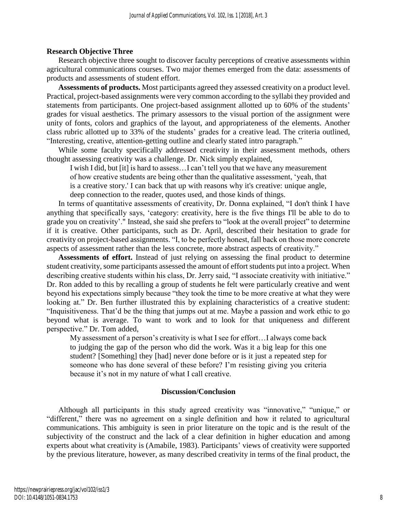# **Research Objective Three**

Research objective three sought to discover faculty perceptions of creative assessments within agricultural communications courses. Two major themes emerged from the data: assessments of products and assessments of student effort.

**Assessments of products.** Most participants agreed they assessed creativity on a product level. Practical, project-based assignments were very common according to the syllabi they provided and statements from participants. One project-based assignment allotted up to 60% of the students' grades for visual aesthetics. The primary assessors to the visual portion of the assignment were unity of fonts, colors and graphics of the layout, and appropriateness of the elements. Another class rubric allotted up to 33% of the students' grades for a creative lead. The criteria outlined, "Interesting, creative, attention-getting outline and clearly stated intro paragraph."

While some faculty specifically addressed creativity in their assessment methods, others thought assessing creativity was a challenge. Dr. Nick simply explained,

I wish I did, but [it] is hard to assess…I can't tell you that we have any measurement of how creative students are being other than the qualitative assessment, 'yeah, that is a creative story.' I can back that up with reasons why it's creative: unique angle, deep connection to the reader, quotes used, and those kinds of things.

In terms of quantitative assessments of creativity, Dr. Donna explained, "I don't think I have anything that specifically says, 'category: creativity, here is the five things I'll be able to do to grade you on creativity'." Instead, she said she prefers to "look at the overall project" to determine if it is creative. Other participants, such as Dr. April, described their hesitation to grade for creativity on project-based assignments. "I, to be perfectly honest, fall back on those more concrete aspects of assessment rather than the less concrete, more abstract aspects of creativity."

**Assessments of effort.** Instead of just relying on assessing the final product to determine student creativity, some participants assessed the amount of effort students put into a project. When describing creative students within his class, Dr. Jerry said, "I associate creativity with initiative." Dr. Ron added to this by recalling a group of students he felt were particularly creative and went beyond his expectations simply because "they took the time to be more creative at what they were looking at." Dr. Ben further illustrated this by explaining characteristics of a creative student: "Inquisitiveness. That'd be the thing that jumps out at me. Maybe a passion and work ethic to go beyond what is average. To want to work and to look for that uniqueness and different perspective." Dr. Tom added,

My assessment of a person's creativity is what I see for effort…I always come back to judging the gap of the person who did the work. Was it a big leap for this one student? [Something] they [had] never done before or is it just a repeated step for someone who has done several of these before? I'm resisting giving you criteria because it's not in my nature of what I call creative.

# **Discussion/Conclusion**

Although all participants in this study agreed creativity was "innovative," "unique," or "different," there was no agreement on a single definition and how it related to agricultural communications. This ambiguity is seen in prior literature on the topic and is the result of the subjectivity of the construct and the lack of a clear definition in higher education and among experts about what creativity is (Amabile, 1983). Participants' views of creativity were supported by the previous literature, however, as many described creativity in terms of the final product, the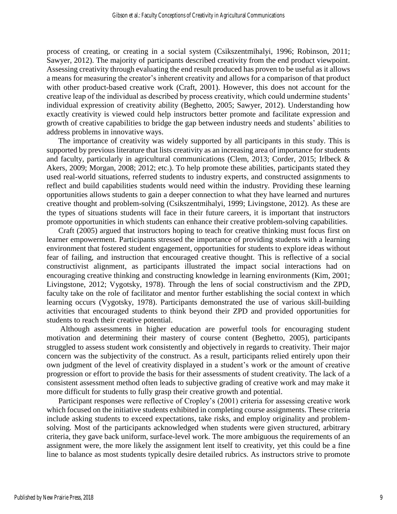process of creating, or creating in a social system (Csikszentmihalyi, 1996; Robinson, 2011; Sawyer, 2012). The majority of participants described creativity from the end product viewpoint. Assessing creativity through evaluating the end result produced has proven to be useful as it allows a means for measuring the creator's inherent creativity and allows for a comparison of that product with other product-based creative work (Craft, 2001). However, this does not account for the creative leap of the individual as described by process creativity, which could undermine students' individual expression of creativity ability (Beghetto, 2005; Sawyer, 2012). Understanding how exactly creativity is viewed could help instructors better promote and facilitate expression and growth of creative capabilities to bridge the gap between industry needs and students' abilities to address problems in innovative ways.

The importance of creativity was widely supported by all participants in this study. This is supported by previous literature that lists creativity as an increasing area of importance for students and faculty, particularly in agricultural communications (Clem, 2013; Corder, 2015; Irlbeck & Akers, 2009; Morgan, 2008; 2012; etc.). To help promote these abilities, participants stated they used real-world situations, referred students to industry experts, and constructed assignments to reflect and build capabilities students would need within the industry. Providing these learning opportunities allows students to gain a deeper connection to what they have learned and nurtures creative thought and problem-solving (Csikszentmihalyi, 1999; Livingstone, 2012). As these are the types of situations students will face in their future careers, it is important that instructors promote opportunities in which students can enhance their creative problem-solving capabilities.

Craft (2005) argued that instructors hoping to teach for creative thinking must focus first on learner empowerment. Participants stressed the importance of providing students with a learning environment that fostered student engagement, opportunities for students to explore ideas without fear of failing, and instruction that encouraged creative thought. This is reflective of a social constructivist alignment, as participants illustrated the impact social interactions had on encouraging creative thinking and constructing knowledge in learning environments (Kim, 2001; Livingstone, 2012; Vygotsky, 1978). Through the lens of social constructivism and the ZPD, faculty take on the role of facilitator and mentor further establishing the social context in which learning occurs (Vygotsky, 1978). Participants demonstrated the use of various skill-building activities that encouraged students to think beyond their ZPD and provided opportunities for students to reach their creative potential.

Although assessments in higher education are powerful tools for encouraging student motivation and determining their mastery of course content (Beghetto, 2005), participants struggled to assess student work consistently and objectively in regards to creativity. Their major concern was the subjectivity of the construct. As a result, participants relied entirely upon their own judgment of the level of creativity displayed in a student's work or the amount of creative progression or effort to provide the basis for their assessments of student creativity. The lack of a consistent assessment method often leads to subjective grading of creative work and may make it more difficult for students to fully grasp their creative growth and potential.

Participant responses were reflective of Cropley's (2001) criteria for assessing creative work which focused on the initiative students exhibited in completing course assignments. These criteria include asking students to exceed expectations, take risks, and employ originality and problemsolving. Most of the participants acknowledged when students were given structured, arbitrary criteria, they gave back uniform, surface-level work. The more ambiguous the requirements of an assignment were, the more likely the assignment lent itself to creativity, yet this could be a fine line to balance as most students typically desire detailed rubrics. As instructors strive to promote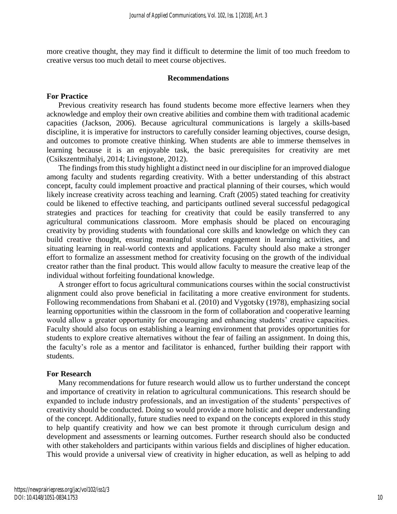more creative thought, they may find it difficult to determine the limit of too much freedom to creative versus too much detail to meet course objectives.

#### **Recommendations**

#### **For Practice**

Previous creativity research has found students become more effective learners when they acknowledge and employ their own creative abilities and combine them with traditional academic capacities (Jackson, 2006). Because agricultural communications is largely a skills-based discipline, it is imperative for instructors to carefully consider learning objectives, course design, and outcomes to promote creative thinking. When students are able to immerse themselves in learning because it is an enjoyable task, the basic prerequisites for creativity are met (Csikszentmihalyi, 2014; Livingstone, 2012).

The findings from this study highlight a distinct need in our discipline for an improved dialogue among faculty and students regarding creativity. With a better understanding of this abstract concept, faculty could implement proactive and practical planning of their courses, which would likely increase creativity across teaching and learning. Craft (2005) stated teaching for creativity could be likened to effective teaching, and participants outlined several successful pedagogical strategies and practices for teaching for creativity that could be easily transferred to any agricultural communications classroom. More emphasis should be placed on encouraging creativity by providing students with foundational core skills and knowledge on which they can build creative thought, ensuring meaningful student engagement in learning activities, and situating learning in real-world contexts and applications. Faculty should also make a stronger effort to formalize an assessment method for creativity focusing on the growth of the individual creator rather than the final product. This would allow faculty to measure the creative leap of the individual without forfeiting foundational knowledge.

A stronger effort to focus agricultural communications courses within the social constructivist alignment could also prove beneficial in facilitating a more creative environment for students. Following recommendations from Shabani et al. (2010) and Vygotsky (1978), emphasizing social learning opportunities within the classroom in the form of collaboration and cooperative learning would allow a greater opportunity for encouraging and enhancing students' creative capacities. Faculty should also focus on establishing a learning environment that provides opportunities for students to explore creative alternatives without the fear of failing an assignment. In doing this, the faculty's role as a mentor and facilitator is enhanced, further building their rapport with students.

#### **For Research**

Many recommendations for future research would allow us to further understand the concept and importance of creativity in relation to agricultural communications. This research should be expanded to include industry professionals, and an investigation of the students' perspectives of creativity should be conducted. Doing so would provide a more holistic and deeper understanding of the concept. Additionally, future studies need to expand on the concepts explored in this study to help quantify creativity and how we can best promote it through curriculum design and development and assessments or learning outcomes. Further research should also be conducted with other stakeholders and participants within various fields and disciplines of higher education. This would provide a universal view of creativity in higher education, as well as helping to add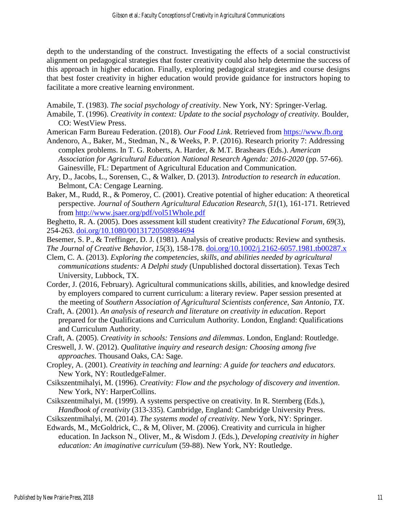depth to the understanding of the construct. Investigating the effects of a social constructivist alignment on pedagogical strategies that foster creativity could also help determine the success of this approach in higher education. Finally, exploring pedagogical strategies and course designs that best foster creativity in higher education would provide guidance for instructors hoping to facilitate a more creative learning environment.

Amabile, T. (1983). *The social psychology of creativity*. New York, NY: Springer-Verlag.

- Amabile, T. (1996). *Creativity in context: Update to the social psychology of creativity.* Boulder, CO: WestView Press.
- American Farm Bureau Federation. (2018). *Our Food Link*. Retrieved from [https://www.fb.org](https://www.fb.org/)
- Andenoro, A., Baker, M., Stedman, N., & Weeks, P. P. (2016). Research priority 7: Addressing complex problems. In T. G. Roberts, A. Harder, & M.T. Brashears (Eds.). *American Association for Agricultural Education National Research Agenda: 2016-2020* (pp. 57-66). Gainesville, FL: Department of Agricultural Education and Communication.
- Ary, D., Jacobs, L., Sorensen, C., & Walker, D. (2013). *Introduction to research in education*. Belmont, CA: Cengage Learning.
- Baker, M., Rudd, R., & Pomeroy, C. (2001). Creative potential of higher education: A theoretical perspective. *Journal of Southern Agricultural Education Research, 51*(1), 161-171. Retrieved from<http://www.jsaer.org/pdf/vol51Whole.pdf>
- Beghetto, R. A. (2005). Does assessment kill student creativity? *The Educational Forum, 69*(3), 254-263. [doi.org/10.1080/00131720508984694](https://doi.org/10.1080/00131720508984694)
- Besemer, S. P., & Treffinger, D. J. (1981). Analysis of creative products: Review and synthesis. *The Journal of Creative Behavior*, *15*(3), 158-178. [doi.org/10.1002/j.2162-6057.1981.tb00287.x](https://doi.org/10.1002/j.2162-6057.1981.tb00287.x)
- Clem, C. A. (2013). *Exploring the competencies, skills, and abilities needed by agricultural communications students: A Delphi study* (Unpublished doctoral dissertation). Texas Tech University, Lubbock, TX.
- Corder, J. (2016, February). Agricultural communications skills, abilities, and knowledge desired by employers compared to current curriculum: a literary review. Paper session presented at the meeting of *Southern Association of Agricultural Scientists conference, San Antonio, TX*.
- Craft, A. (2001). *An analysis of research and literature on creativity in education*. Report prepared for the Qualifications and Curriculum Authority. London, England: Qualifications and Curriculum Authority.
- Craft, A. (2005). *Creativity in schools: Tensions and dilemmas*. London, England: Routledge.
- Creswell, J. W. (2012). *Qualitative inquiry and research design: Choosing among five approaches*. Thousand Oaks, CA: Sage.
- Cropley, A. (2001). *Creativity in teaching and learning: A guide for teachers and educators.*  New York, NY: RoutledgeFalmer.
- Csikszentmihalyi, M. (1996). *Creativity: Flow and the psychology of discovery and invention*. New York, NY: HarperCollins.
- Csikszentmihalyi, M. (1999). A systems perspective on creativity. In R. Sternberg (Eds.), *Handbook of creativity* (313-335). Cambridge, England: Cambridge University Press.
- Csikszentmihalyi, M. (2014). *The systems model of creativity*. New York, NY: Springer.
- Edwards, M., McGoldrick, C., & M, Oliver, M. (2006). Creativity and curricula in higher education. In Jackson N., Oliver, M., & Wisdom J. (Eds.), *Developing creativity in higher education: An imaginative curriculum* (59-88). New York, NY: Routledge.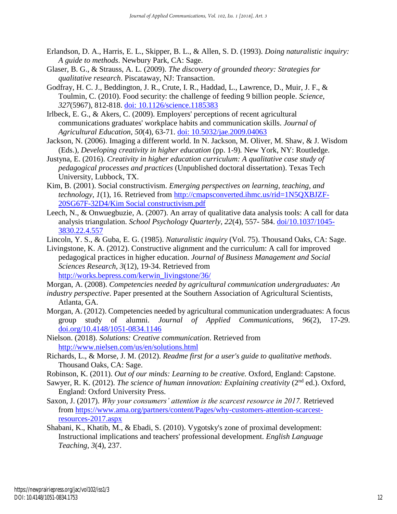- Erlandson, D. A., Harris, E. L., Skipper, B. L., & Allen, S. D. (1993). *Doing naturalistic inquiry: A guide to methods*. Newbury Park, CA: Sage.
- Glaser, B. G., & Strauss, A. L. (2009). *The discovery of grounded theory: Strategies for qualitative research*. Piscataway, NJ: Transaction.
- Godfray, H. C. J., Beddington, J. R., Crute, I. R., Haddad, L., Lawrence, D., Muir, J. F., & Toulmin, C. (2010). Food security: the challenge of feeding 9 billion people. *Science*, *327*(5967), 812-818. [doi: 10.1126/science.1185383](doi:%2010.1126/science.1185383)
- Irlbeck, E. G., & Akers, C. (2009). Employers' perceptions of recent agricultural communications graduates' workplace habits and communication skills. *Journal of Agricultural Education*, *50*(4), 63-71. [doi: 10.5032/jae.2009.04063](doi:%2010.5032/jae.2009.04063)
- Jackson, N. (2006). Imaging a different world. In N. Jackson, M. Oliver, M. Shaw, & J. Wisdom (Eds.), *Developing creativity in higher education* (pp. 1-9)*.* New York, NY: Routledge.
- Justyna, E. (2016). *Creativity in higher education curriculum: A qualitative case study of pedagogical processes and practices* (Unpublished doctoral dissertation). Texas Tech University, Lubbock, TX.
- Kim, B. (2001). Social constructivism. *Emerging perspectives on learning, teaching, and technology*, *1*(1), 16. Retrieved from [http://cmapsconverted.ihmc.us/rid=1N5QXBJZF-](http://cmapsconverted.ihmc.us/rid=1N5QXBJZF-20SG67F-32D4/Kim%20Social%20constructivism.pdf)[20SG67F-32D4/Kim Social constructivism.pdf](http://cmapsconverted.ihmc.us/rid=1N5QXBJZF-20SG67F-32D4/Kim%20Social%20constructivism.pdf)
- Leech, N., & Onwuegbuzie, A. (2007). An array of qualitative data analysis tools: A call for data analysis triangulation. *School Psychology Quarterly, 22*(4), 557- 584. [doi/10.1037/1045-](http://psycnet.apa.org/doi/10.1037/1045-3830.22.4.557) [3830.22.4.557](http://psycnet.apa.org/doi/10.1037/1045-3830.22.4.557)
- Lincoln, Y. S., & Guba, E. G. (1985). *Naturalistic inquiry* (Vol. 75). Thousand Oaks, CA: Sage.
- Livingstone, K. A. (2012). Constructive alignment and the curriculum: A call for improved pedagogical practices in higher education. *Journal of Business Management and Social Sciences Research, 3*(12), 19-34. Retrieved from [http://works.bepress.com/kerwin\\_livingstone/36/](http://works.bepress.com/kerwin_livingstone/36/)
- Morgan, A. (2008). *Competencies needed by agricultural communication undergraduates: An*
- *industry perspective*. Paper presented at the Southern Association of Agricultural Scientists, Atlanta, GA.
- Morgan, A. (2012). Competencies needed by agricultural communication undergraduates: A focus group study of alumni. *Journal of Applied Communications, 96*(2), 17-29. [doi.org/10.4148/1051-0834.1146](https://doi.org/10.4148/1051-0834.1146)
- Nielson. (2018). *Solutions: Creative communication*. Retrieved from <http://www.nielsen.com/us/en/solutions.html>
- Richards, L., & Morse, J. M. (2012). *Readme first for a user's guide to qualitative methods*. Thousand Oaks, CA: Sage.
- Robinson, K. (2011). *Out of our minds: Learning to be creative.* Oxford, England: Capstone.
- Sawyer, R. K. (2012). *The science of human innovation: Explaining creativity* (2<sup>nd</sup> ed.). Oxford, England: Oxford University Press.
- Saxon, J. (2017). *Why your consumers' attention is the scarcest resource in 2017.* Retrieved from [https://www.ama.org/partners/content/Pages/why-customers-attention-scarcest](https://www.ama.org/partners/content/Pages/why-customers-attention-scarcest-resources-2017.aspx)[resources-2017.aspx](https://www.ama.org/partners/content/Pages/why-customers-attention-scarcest-resources-2017.aspx)
- Shabani, K., Khatib, M., & Ebadi, S. (2010). Vygotsky's zone of proximal development: Instructional implications and teachers' professional development. *English Language Teaching*, *3*(4), 237.